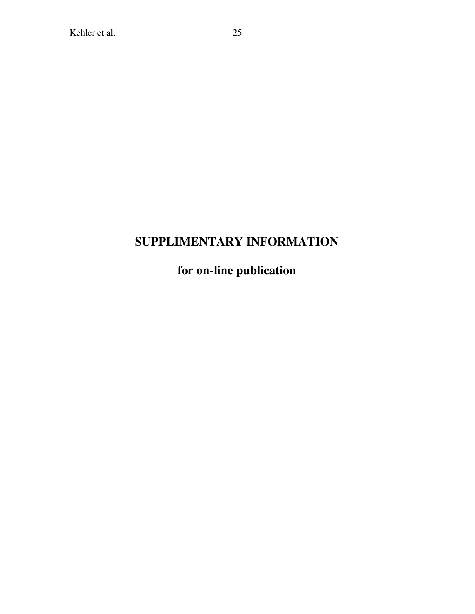## **SUPPLIMENTARY INFORMATION**

**for on-line publication**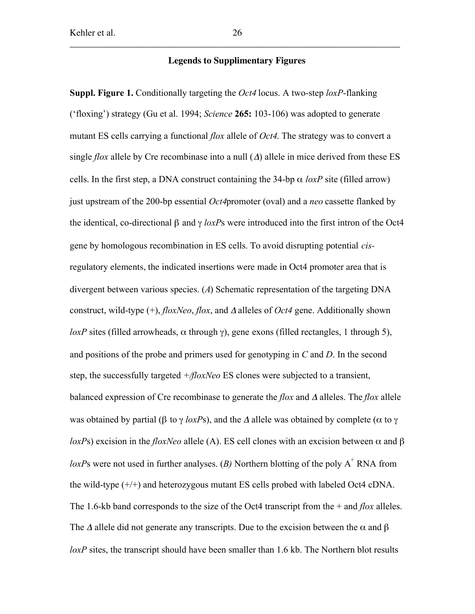## **Legends to Supplimentary Figures**

Suppl. Figure 1. Conditionally targeting the *Oct4* locus. A two-step *loxP*-flanking ('floxing') strategy (Gu et al. 1994; *Science* 265: 103-106) was adopted to generate mutant ES cells carrying a functional *flox* allele of *Oct4*. The strategy was to convert a single *flox* allele by Cre recombinase into a null  $(\Delta)$  allele in mice derived from these ES cells. In the first step, a DNA construct containing the 34-bp  $\alpha$  *loxP* site (filled arrow) just upstream of the 200-bp essential *Oct4*promoter (oval) and a *neo* cassette flanked by the identical, co-directional β and γ *loxP*s were introduced into the first intron of the Oct4 gene by homologous recombination in ES cells. To avoid disrupting potential *cis*regulatory elements, the indicated insertions were made in Oct4 promoter area that is divergent between various species. (*A*) Schematic representation of the targeting DNA construct, wild-type (+), *floxNeo*, *flox*, and <sup>Δ</sup> alleles of *Oct4* gene. Additionally shown *loxP* sites (filled arrowheads,  $\alpha$  through  $\gamma$ ), gene exons (filled rectangles, 1 through 5), and positions of the probe and primers used for genotyping in *C* and *D*. In the second step, the successfully targeted *+/floxNeo* ES clones were subjected to a transient, balanced expression of Cre recombinase to generate the *flox* and <sup>Δ</sup> alleles. The *flox* allele was obtained by partial (β to  $\gamma$  *loxPs*), and the  $\Delta$  allele was obtained by complete ( $\alpha$  to  $\gamma$ *loxP*s) excision in the *floxNeo* allele (A). ES cell clones with an excision between α and β  $loxPs$  were not used in further analyses. (*B*) Northern blotting of the poly  $A^+$  RNA from the wild-type (+/+) and heterozygous mutant ES cells probed with labeled Oct4 cDNA. The 1.6-kb band corresponds to the size of the Oct4 transcript from the + and *flox* alleles. The  $\Delta$  allele did not generate any transcripts. Due to the excision between the  $\alpha$  and  $\beta$ *loxP* sites, the transcript should have been smaller than 1.6 kb. The Northern blot results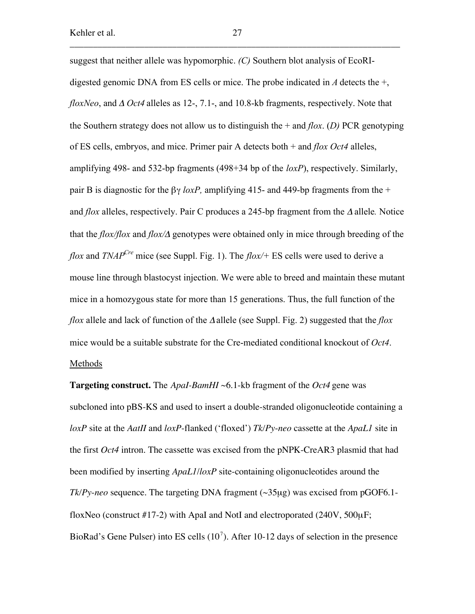suggest that neither allele was hypomorphic. *(C)* Southern blot analysis of EcoRIdigested genomic DNA from ES cells or mice. The probe indicated in *A* detects the +, *floxNeo*, and <sup>Δ</sup> *Oct4* alleles as 12-, 7.1-, and 10.8-kb fragments, respectively. Note that the Southern strategy does not allow us to distinguish the + and *flox*. (*D)* PCR genotyping of ES cells, embryos, and mice. Primer pair A detects both + and *flox Oct4* alleles, amplifying 498- and 532-bp fragments (498+34 bp of the *loxP*), respectively. Similarly, pair B is diagnostic for the  $\beta\gamma$  *loxP*, amplifying 415- and 449-bp fragments from the + and *flox* alleles, respectively. Pair C produces a 245-bp fragment from the <sup>Δ</sup> allele*.* Notice that the *flox/flox* and *flox/*Δ genotypes were obtained only in mice through breeding of the *flox* and *TNAP<sup>Cre</sup>* mice (see Suppl. Fig. 1). The *flox*/+ ES cells were used to derive a mouse line through blastocyst injection. We were able to breed and maintain these mutant mice in a homozygous state for more than 15 generations. Thus, the full function of the *flox* allele and lack of function of the Δallele (see Suppl. Fig. 2) suggested that the *flox* mice would be a suitable substrate for the Cre-mediated conditional knockout of *Oct4*. Methods

**Targeting construct.** The *ApaI-BamHI* ~6.1-kb fragment of the *Oct4* gene was subcloned into pBS-KS and used to insert a double-stranded oligonucleotide containing a *loxP* site at the *AatII* and *loxP*-flanked ('floxed') *Tk/Py*-*neo* cassette at the *ApaL1* site in the first *Oct4* intron. The cassette was excised from the pNPK-CreAR3 plasmid that had been modified by inserting *ApaL1*/*loxP* site-containing oligonucleotides around the *Tk/Py*-*neo* sequence*.* The targeting DNA fragment (~35µg) was excised from pGOF6.1 floxNeo (construct #17-2) with ApaI and NotI and electroporated (240V,  $500\mu$ F; BioRad's Gene Pulser) into ES cells  $(10<sup>7</sup>)$ . After 10-12 days of selection in the presence

\_\_\_\_\_\_\_\_\_\_\_\_\_\_\_\_\_\_\_\_\_\_\_\_\_\_\_\_\_\_\_\_\_\_\_\_\_\_\_\_\_\_\_\_\_\_\_\_\_\_\_\_\_\_\_\_\_\_\_\_\_\_\_\_\_\_\_\_\_\_\_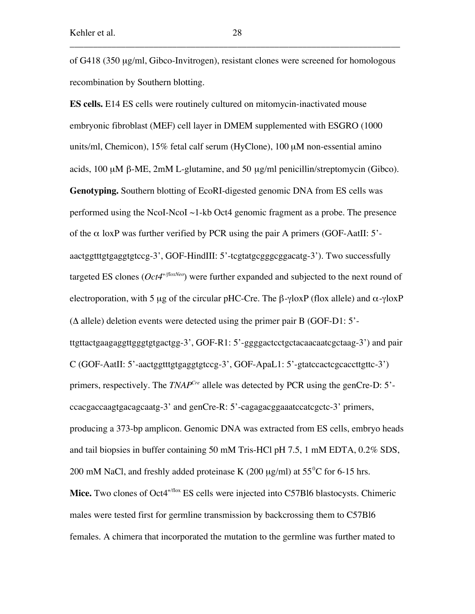of G418 (350 µg/ml, Gibco-Invitrogen), resistant clones were screened for homologous recombination by Southern blotting.

**ES cells.** E14 ES cells were routinely cultured on mitomycin-inactivated mouse embryonic fibroblast (MEF) cell layer in DMEM supplemented with ESGRO (1000 units/ml, Chemicon), 15% fetal calf serum (HyClone), 100 µM non-essential amino acids, 100 µM β-ME, 2mM L-glutamine, and 50 µg/ml penicillin/streptomycin (Gibco). **Genotyping.** Southern blotting of EcoRI-digested genomic DNA from ES cells was performed using the NcoI-NcoI ~1-kb Oct4 genomic fragment as a probe. The presence of the  $\alpha$  loxP was further verified by PCR using the pair A primers (GOF-AatII: 5'aactggtttgtgaggtgtccg-3', GOF-HindIII: 5'-tcgtatgcgggcggacatg-3'). Two successfully targeted ES clones ( $Oct4^{+/floxNeo}$ ) were further expanded and subjected to the next round of electroporation, with 5 µg of the circular pHC-Cre. The  $\beta$ -γloxP (flox allele) and  $\alpha$ -γloxP  $(\Delta$  allele) deletion events were detected using the primer pair B (GOF-D1: 5'ttgttactgaagaggttgggtgtgactgg-3', GOF-R1: 5'-ggggactcctgctacaacaatcgctaag-3') and pair  $C$  (GOF-AatII: 5'-aactggtttgtgaggtgtccg-3', GOF-ApaL1: 5'-gtatccactcgcaccttgttc-3') primers, respectively. The *TNAP<sup>Cre</sup>* allele was detected by PCR using the genCre-D: 5'ccacgaccaagtgacagcaatg-3' and genCre-R: 5'-cagagacggaaatccatcgctc-3' primers, producing a 373-bp amplicon. Genomic DNA was extracted from ES cells, embryo heads and tail biopsies in buffer containing 50 mM Tris-HCl pH 7.5, 1 mM EDTA, 0.2% SDS, 200 mM NaCl, and freshly added proteinase K (200  $\mu$ g/ml) at 55<sup>°</sup>C for 6-15 hrs. Mice. Two clones of Oct4<sup>+/flox</sup> ES cells were injected into C57Bl6 blastocysts. Chimeric males were tested first for germline transmission by backcrossing them to C57Bl6 females. A chimera that incorporated the mutation to the germline was further mated to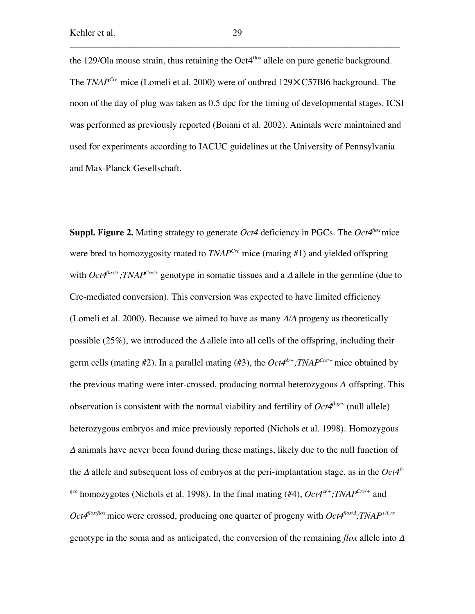the 129/Ola mouse strain, thus retaining the Oct $4^{fbox}$  allele on pure genetic background. The *TNAP<sup>Cre</sup>* mice (Lomeli et al. 2000) were of outbred 129×C57Bl6 background. The noon of the day of plug was taken as 0.5 dpc for the timing of developmental stages. ICSI was performed as previously reported (Boiani et al. 2002). Animals were maintained and used for experiments according to IACUC guidelines at the University of Pennsylvania and Max-Planck Gesellschaft.

**Suppl. Figure 2.** Mating strategy to generate *Oct4* deficiency in PGCs. The *Oct4<sup>flox</sup>* mice were bred to homozygosity mated to *TNAPCre* mice (mating #1) and yielded offspring with  $Oct4^{flox/+}$ ; TNAP<sup>Cre/+</sup> genotype in somatic tissues and a  $\Delta$  allele in the germline (due to Cre-mediated conversion). This conversion was expected to have limited efficiency (Lomeli et al. 2000). Because we aimed to have as many Δ*/*Δ progeny as theoretically possible (25%), we introduced the  $\Delta$  allele into all cells of the offspring, including their germ cells (mating #2). In a parallel mating (#3), the  $Oct4^{\Delta/+}$ ; TNAP<sup>Cre/+</sup> mice obtained by the previous mating were inter-crossed, producing normal heterozygous  $\Delta$  offspring. This observation is consistent with the normal viability and fertility of *Oct4*<sup>β</sup>*-geo* (null allele) heterozygous embryos and mice previously reported (Nichols et al. 1998). Homozygous <sup>Δ</sup> animals have never been found during these matings, likely due to the null function of the <sup>Δ</sup> allele and subsequent loss of embryos at the peri-implantation stage, as in the *Oct4*<sup>β</sup>*geo* homozygotes (Nichols et al. 1998). In the final mating (#4), *Oct4*<sup>Δ</sup>*/+;TNAPCre/+* and *Oct4flox/flox* micewere crossed, producing one quarter of progeny with *Oct4flox/*<sup>Δ</sup> *;TNAP+/Cre* genotype in the soma and as anticipated, the conversion of the remaining *flox* allele into Δ

\_\_\_\_\_\_\_\_\_\_\_\_\_\_\_\_\_\_\_\_\_\_\_\_\_\_\_\_\_\_\_\_\_\_\_\_\_\_\_\_\_\_\_\_\_\_\_\_\_\_\_\_\_\_\_\_\_\_\_\_\_\_\_\_\_\_\_\_\_\_\_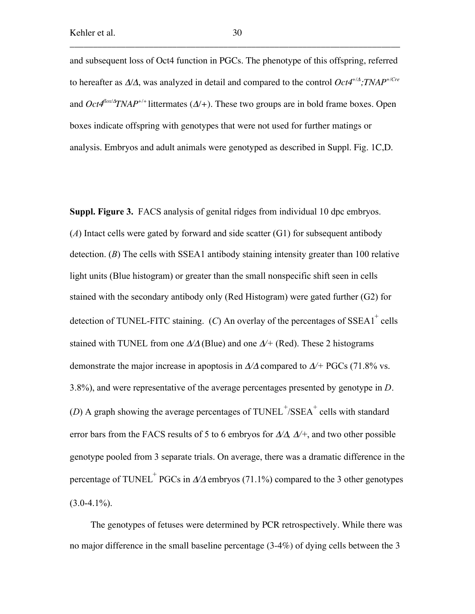and subsequent loss of Oct4 function in PGCs. The phenotype of this offspring, referred to hereafter as Δ*/*Δ, was analyzed in detail and compared to the control *Oct4+/*<sup>Δ</sup> *;TNAP+/Cre* and *Oct4flox/*<sup>Δ</sup> *TNAP+/+* littermates (Δ*/+*). These two groups are in bold frame boxes. Open boxes indicate offspring with genotypes that were not used for further matings or analysis. Embryos and adult animals were genotyped as described in Suppl. Fig. 1C,D.

Suppl. Figure 3. FACS analysis of genital ridges from individual 10 dpc embryos. (*A*) Intact cells were gated by forward and side scatter (G1) for subsequent antibody detection. (*B*) The cells with SSEA1 antibody staining intensity greater than 100 relative light units (Blue histogram) or greater than the small nonspecific shift seen in cells stained with the secondary antibody only (Red Histogram) were gated further (G2) for detection of TUNEL-FITC staining.  $(C)$  An overlay of the percentages of SSEA1<sup>+</sup> cells stained with TUNEL from one  $\Delta/\Delta$  (Blue) and one  $\Delta/+\langle$  (Red). These 2 histograms demonstrate the major increase in apoptosis in Δ*/*Δ compared to Δ*/+* PGCs (71.8% vs. 3.8%), and were representative of the average percentages presented by genotype in *D*. (*D*) A graph showing the average percentages of  $\text{TDNEL}^{\text{+}}/\text{SSEA}^+$  cells with standard error bars from the FACS results of 5 to 6 embryos for Δ*/*Δ*,* Δ*/+*, and two other possible genotype pooled from 3 separate trials. On average, there was a dramatic difference in the percentage of TUNEL<sup>+</sup> PGCs in  $\Delta/\Delta$  embryos (71.1%) compared to the 3 other genotypes  $(3.0-4.1\%)$ .

The genotypes of fetuses were determined by PCR retrospectively. While there was no major difference in the small baseline percentage (3-4%) of dying cells between the 3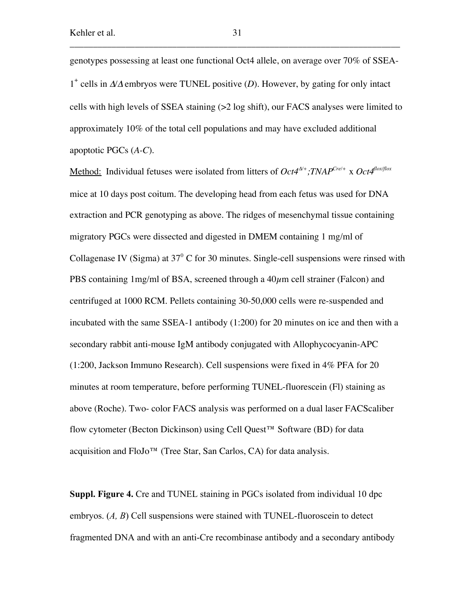genotypes possessing at least one functional Oct4 allele, on average over 70% of SSEA-1+ cells in Δ*/*<sup>Δ</sup> embryos were TUNEL positive (*D*). However, by gating for only intact cells with high levels of SSEA staining (>2 log shift), our FACS analyses were limited to approximately 10% of the total cell populations and may have excluded additional apoptotic PGCs (*A-C*).

Method: Individual fetuses were isolated from litters of  $Oct4^{\Delta'+}$ ;TNAP<sup>Cre/+</sup> x  $Oct4^{\text{flow/flox}}$ mice at 10 days post coitum. The developing head from each fetus was used for DNA extraction and PCR genotyping as above. The ridges of mesenchymal tissue containing migratory PGCs were dissected and digested in DMEM containing 1 mg/ml of Collagenase IV (Sigma) at  $37^{\circ}$  C for 30 minutes. Single-cell suspensions were rinsed with PBS containing 1mg/ml of BSA, screened through a  $40\mu$ m cell strainer (Falcon) and centrifuged at 1000 RCM. Pellets containing 30-50,000 cells were re-suspended and incubated with the same SSEA-1 antibody (1:200) for 20 minutes on ice and then with a secondary rabbit anti-mouse IgM antibody conjugated with Allophycocyanin-APC (1:200, Jackson Immuno Research). Cell suspensions were fixed in 4% PFA for 20 minutes at room temperature, before performing TUNEL-fluorescein (Fl) staining as above (Roche). Two- color FACS analysis was performed on a dual laser FACScaliber flow cytometer (Becton Dickinson) using Cell Quest™ Software (BD) for data acquisition and FloJo™ (Tree Star, San Carlos, CA) for data analysis.

Suppl. Figure 4. Cre and TUNEL staining in PGCs isolated from individual 10 dpc embryos. (*A, B*) Cell suspensions were stained with TUNEL-fluoroscein to detect fragmented DNA and with an anti-Cre recombinase antibody and a secondary antibody

\_\_\_\_\_\_\_\_\_\_\_\_\_\_\_\_\_\_\_\_\_\_\_\_\_\_\_\_\_\_\_\_\_\_\_\_\_\_\_\_\_\_\_\_\_\_\_\_\_\_\_\_\_\_\_\_\_\_\_\_\_\_\_\_\_\_\_\_\_\_\_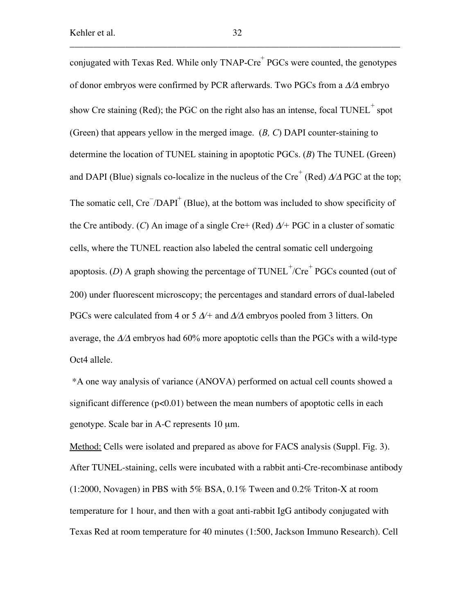conjugated with Texas Red. While only  $TNAP-Cre^{\dagger}PGCs$  were counted, the genotypes of donor embryos were confirmed by PCR afterwards. Two PGCs from a Δ*/*Δ embryo show Cre staining (Red); the PGC on the right also has an intense, focal  $\text{TDNEL}^+$  spot (Green) that appears yellow in the merged image. (*B, C*) DAPI counter-staining to determine the location of TUNEL staining in apoptotic PGCs. (*B*) The TUNEL (Green) and DAPI (Blue) signals co-localize in the nucleus of the Cre<sup>+</sup> (Red)  $\Delta/\Delta$  PGC at the top; The somatic cell,  $Cre^{-}/DAPI^{+}$  (Blue), at the bottom was included to show specificity of the Cre antibody. (*C*) An image of a single Cre+ (Red) Δ*/+* PGC in a cluster of somatic cells, where the TUNEL reaction also labeled the central somatic cell undergoing apoptosis. (*D*) A graph showing the percentage of  $\text{TDNEL}^+/\text{Cre}^+$  PGCs counted (out of 200) under fluorescent microscopy; the percentages and standard errors of dual-labeled PGCs were calculated from 4 or 5 Δ*/+* and Δ*/*Δ embryos pooled from 3 litters. On average, the Δ*/*Δ embryos had 60% more apoptotic cells than the PGCs with a wild-type Oct4 allele.

 \*A one way analysis of variance (ANOVA) performed on actual cell counts showed a significant difference  $(p<0.01)$  between the mean numbers of apoptotic cells in each genotype. Scale bar in A-C represents 10 µm.

Method: Cells were isolated and prepared as above for FACS analysis (Suppl. Fig. 3). After TUNEL-staining, cells were incubated with a rabbit anti-Cre-recombinase antibody (1:2000, Novagen) in PBS with 5% BSA, 0.1% Tween and 0.2% Triton-X at room temperature for 1 hour, and then with a goat anti-rabbit IgG antibody conjugated with Texas Red at room temperature for 40 minutes (1:500, Jackson Immuno Research). Cell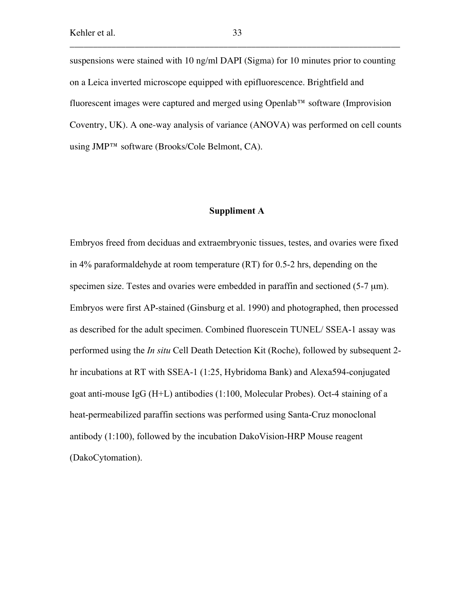suspensions were stained with 10 ng/ml DAPI (Sigma) for 10 minutes prior to counting on a Leica inverted microscope equipped with epifluorescence. Brightfield and fluorescent images were captured and merged using Openlab™ software (Improvision Coventry, UK). A one-way analysis of variance (ANOVA) was performed on cell counts using JMP™ software (Brooks/Cole Belmont, CA).

## Suppliment A

Embryos freed from deciduas and extraembryonic tissues, testes, and ovaries were fixed in 4% paraformaldehyde at room temperature (RT) for 0.5-2 hrs, depending on the specimen size. Testes and ovaries were embedded in paraffin and sectioned (5-7  $\mu$ m). Embryos were first AP-stained (Ginsburg et al. 1990) and photographed, then processed as described for the adult specimen. Combined fluorescein TUNEL/ SSEA-1 assay was performed using the *In situ* Cell Death Detection Kit (Roche), followed by subsequent 2 hr incubations at RT with SSEA-1 (1:25, Hybridoma Bank) and Alexa594-conjugated goat anti-mouse IgG (H+L) antibodies (1:100, Molecular Probes). Oct-4 staining of a heat-permeabilized paraffin sections was performed using Santa-Cruz monoclonal antibody (1:100), followed by the incubation DakoVision-HRP Mouse reagent (DakoCytomation).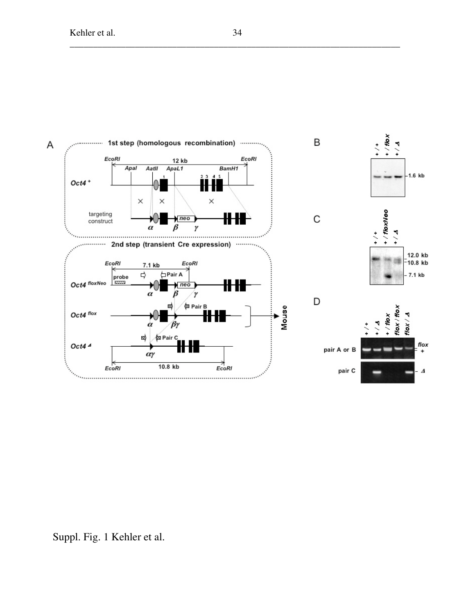

Suppl. Fig. 1 Kehler et al.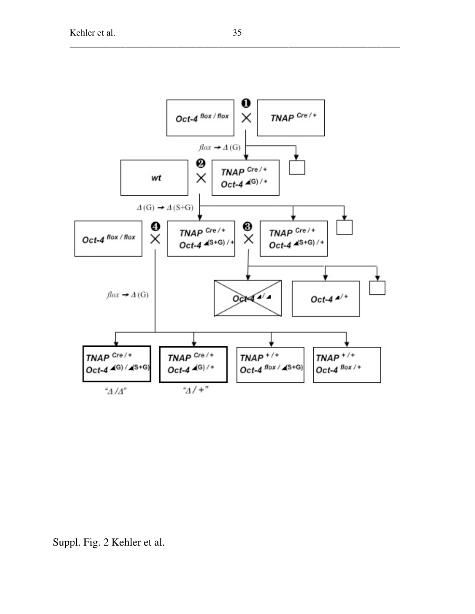

Suppl. Fig. 2 Kehler et al.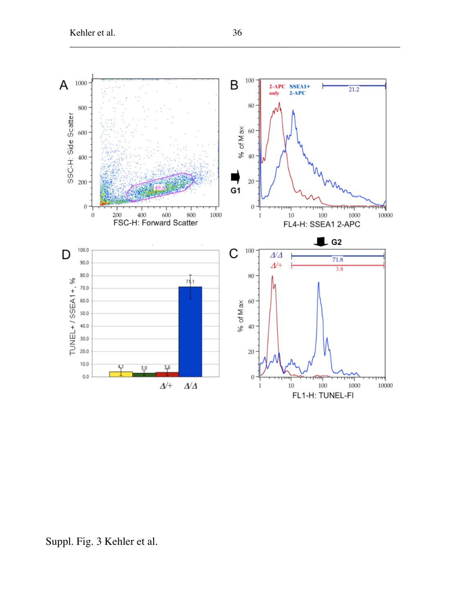

Suppl. Fig. 3 Kehler et al.